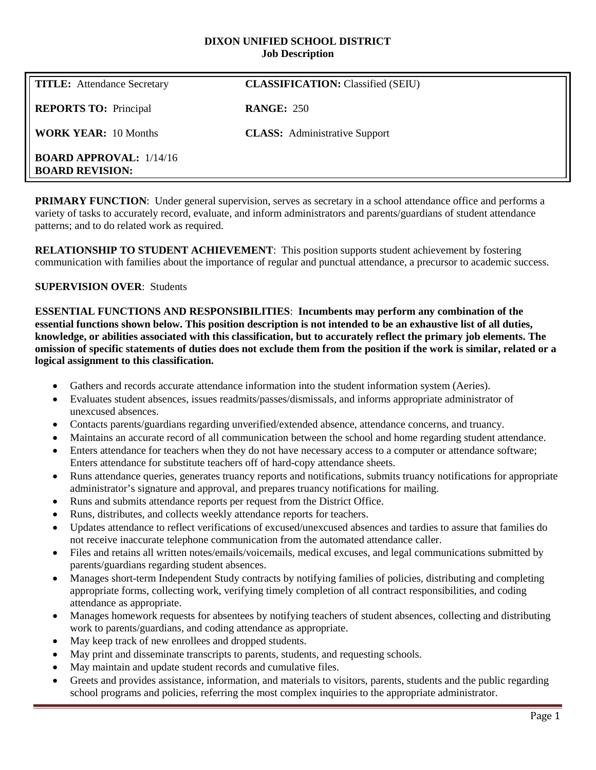#### **DIXON UNIFIED SCHOOL DISTRICT Job Description**

| <b>TITLE:</b> Attendance Secretary                       | <b>CLASSIFICATION:</b> Classified (SEIU) |
|----------------------------------------------------------|------------------------------------------|
| <b>REPORTS TO:</b> Principal                             | <b>RANGE: 250</b>                        |
| <b>WORK YEAR: 10 Months</b>                              | <b>CLASS:</b> Administrative Support     |
| <b>BOARD APPROVAL: 1/14/16</b><br><b>BOARD REVISION:</b> |                                          |

**PRIMARY FUNCTION:** Under general supervision, serves as secretary in a school attendance office and performs a variety of tasks to accurately record, evaluate, and inform administrators and parents/guardians of student attendance patterns; and to do related work as required.

**RELATIONSHIP TO STUDENT ACHIEVEMENT**: This position supports student achievement by fostering communication with families about the importance of regular and punctual attendance, a precursor to academic success.

# **SUPERVISION OVER**: Students

**ESSENTIAL FUNCTIONS AND RESPONSIBILITIES**: **Incumbents may perform any combination of the essential functions shown below. This position description is not intended to be an exhaustive list of all duties, knowledge, or abilities associated with this classification, but to accurately reflect the primary job elements. The omission of specific statements of duties does not exclude them from the position if the work is similar, related or a logical assignment to this classification.**

- Gathers and records accurate attendance information into the student information system (Aeries).
- Evaluates student absences, issues readmits/passes/dismissals, and informs appropriate administrator of unexcused absences.
- Contacts parents/guardians regarding unverified/extended absence, attendance concerns, and truancy.
- Maintains an accurate record of all communication between the school and home regarding student attendance.
- Enters attendance for teachers when they do not have necessary access to a computer or attendance software; Enters attendance for substitute teachers off of hard-copy attendance sheets.
- Runs attendance queries, generates truancy reports and notifications, submits truancy notifications for appropriate administrator's signature and approval, and prepares truancy notifications for mailing.
- Runs and submits attendance reports per request from the District Office.
- Runs, distributes, and collects weekly attendance reports for teachers.
- Updates attendance to reflect verifications of excused/unexcused absences and tardies to assure that families do not receive inaccurate telephone communication from the automated attendance caller.
- Files and retains all written notes/emails/voicemails, medical excuses, and legal communications submitted by parents/guardians regarding student absences.
- Manages short-term Independent Study contracts by notifying families of policies, distributing and completing appropriate forms, collecting work, verifying timely completion of all contract responsibilities, and coding attendance as appropriate.
- Manages homework requests for absentees by notifying teachers of student absences, collecting and distributing work to parents/guardians, and coding attendance as appropriate.
- May keep track of new enrollees and dropped students.
- May print and disseminate transcripts to parents, students, and requesting schools.
- May maintain and update student records and cumulative files.
- Greets and provides assistance, information, and materials to visitors, parents, students and the public regarding school programs and policies, referring the most complex inquiries to the appropriate administrator.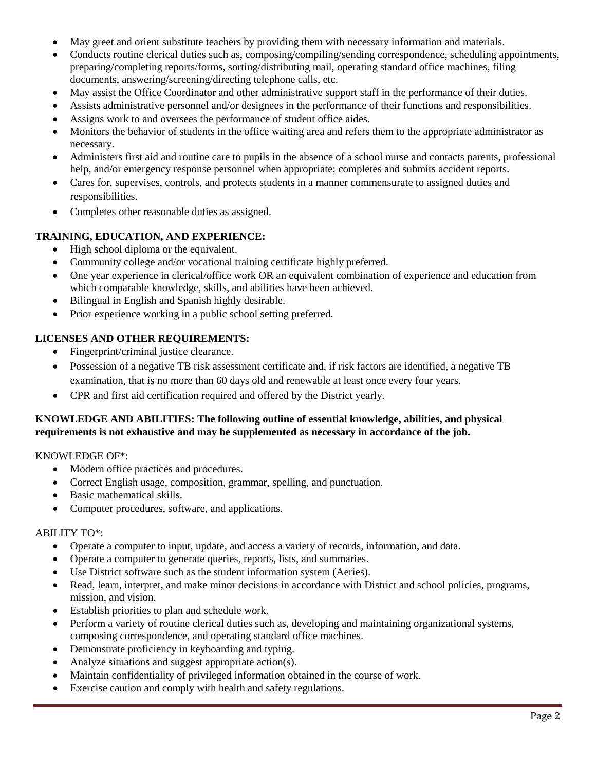- May greet and orient substitute teachers by providing them with necessary information and materials.
- Conducts routine clerical duties such as, composing/compiling/sending correspondence, scheduling appointments, preparing/completing reports/forms, sorting/distributing mail, operating standard office machines, filing documents, answering/screening/directing telephone calls, etc.
- May assist the Office Coordinator and other administrative support staff in the performance of their duties.
- Assists administrative personnel and/or designees in the performance of their functions and responsibilities.
- Assigns work to and oversees the performance of student office aides.
- Monitors the behavior of students in the office waiting area and refers them to the appropriate administrator as necessary.
- Administers first aid and routine care to pupils in the absence of a school nurse and contacts parents, professional help, and/or emergency response personnel when appropriate; completes and submits accident reports.
- Cares for, supervises, controls, and protects students in a manner commensurate to assigned duties and responsibilities.
- Completes other reasonable duties as assigned.

# **TRAINING, EDUCATION, AND EXPERIENCE:**

- High school diploma or the equivalent.
- Community college and/or vocational training certificate highly preferred.
- One year experience in clerical/office work OR an equivalent combination of experience and education from which comparable knowledge, skills, and abilities have been achieved.
- Bilingual in English and Spanish highly desirable.
- Prior experience working in a public school setting preferred.

# **LICENSES AND OTHER REQUIREMENTS:**

- Fingerprint/criminal justice clearance.
- Possession of a negative TB risk assessment certificate and, if risk factors are identified, a negative TB examination, that is no more than 60 days old and renewable at least once every four years.
- CPR and first aid certification required and offered by the District yearly.

# **KNOWLEDGE AND ABILITIES: The following outline of essential knowledge, abilities, and physical requirements is not exhaustive and may be supplemented as necessary in accordance of the job.**

KNOWLEDGE OF\*:

- Modern office practices and procedures.
- Correct English usage, composition, grammar, spelling, and punctuation.
- Basic mathematical skills.
- Computer procedures, software, and applications.

#### ABILITY TO\*:

- Operate a computer to input, update, and access a variety of records, information, and data.
- Operate a computer to generate queries, reports, lists, and summaries.
- Use District software such as the student information system (Aeries).
- Read, learn, interpret, and make minor decisions in accordance with District and school policies, programs, mission, and vision.
- Establish priorities to plan and schedule work.
- Perform a variety of routine clerical duties such as, developing and maintaining organizational systems, composing correspondence, and operating standard office machines.
- Demonstrate proficiency in keyboarding and typing.
- Analyze situations and suggest appropriate action(s).
- Maintain confidentiality of privileged information obtained in the course of work.
- Exercise caution and comply with health and safety regulations.